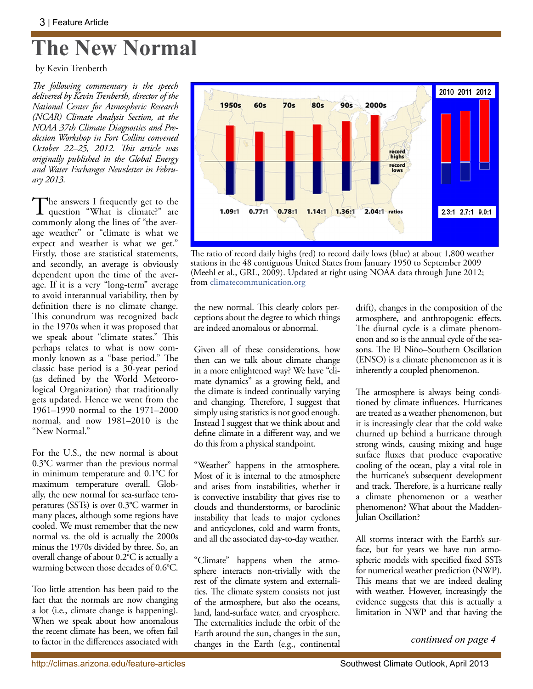## **The New Normal**

by Kevin Trenberth

*The following commentary is the speech delivered by Kevin Trenberth, director of the National Center for Atmospheric Research (NCAR) Climate Analysis Section, at the NOAA 37th Climate Diagnostics and Prediction Workshop in Fort Collins convened October 22–25, 2012. This article was originally published in the Global Energy and Water Exchanges Newsletter in February 2013.*

The answers I frequently get to the question "What is climate?" are commonly along the lines of "the average weather" or "climate is what we expect and weather is what we get." Firstly, those are statistical statements, and secondly, an average is obviously dependent upon the time of the average. If it is a very "long-term" average to avoid interannual variability, then by definition there is no climate change. This conundrum was recognized back in the 1970s when it was proposed that we speak about "climate states." This perhaps relates to what is now commonly known as a "base period." The classic base period is a 30-year period (as defined by the World Meteorological Organization) that traditionally gets updated. Hence we went from the 1961–1990 normal to the 1971–2000 normal, and now 1981–2010 is the "New Normal."

For the U.S., the new normal is about 0.3°C warmer than the previous normal in minimum temperature and 0.1°C for maximum temperature overall. Globally, the new normal for sea-surface temperatures (SSTs) is over 0.3°C warmer in many places, although some regions have cooled. We must remember that the new normal vs. the old is actually the 2000s minus the 1970s divided by three. So, an overall change of about 0.2°C is actually a warming between those decades of 0.6°C.

Too little attention has been paid to the fact that the normals are now changing a lot (i.e., climate change is happening). When we speak about how anomalous the recent climate has been, we often fail to factor in the differences associated with



The ratio of record daily highs (red) to record daily lows (blue) at about 1,800 weather stations in the 48 contiguous United States from January 1950 to September 2009 (Meehl et al., GRL, 2009). Updated at right using NOAA data through June 2012; from climatecommunication.org

the new normal. This clearly colors perceptions about the degree to which things are indeed anomalous or abnormal.

Given all of these considerations, how then can we talk about climate change in a more enlightened way? We have "climate dynamics" as a growing field, and the climate is indeed continually varying and changing. Therefore, I suggest that simply using statistics is not good enough. Instead I suggest that we think about and define climate in a different way, and we do this from a physical standpoint.

"Weather" happens in the atmosphere. Most of it is internal to the atmosphere and arises from instabilities, whether it is convective instability that gives rise to clouds and thunderstorms, or baroclinic instability that leads to major cyclones and anticyclones, cold and warm fronts, and all the associated day-to-day weather.

"Climate" happens when the atmosphere interacts non-trivially with the rest of the climate system and externalities. The climate system consists not just of the atmosphere, but also the oceans, land, land-surface water, and cryosphere. The externalities include the orbit of the Earth around the sun, changes in the sun, changes in the Earth (e.g., continental drift), changes in the composition of the atmosphere, and anthropogenic effects. The diurnal cycle is a climate phenomenon and so is the annual cycle of the seasons. The El Niño–Southern Oscillation (ENSO) is a climate phenomenon as it is inherently a coupled phenomenon.

The atmosphere is always being conditioned by climate influences. Hurricanes are treated as a weather phenomenon, but it is increasingly clear that the cold wake churned up behind a hurricane through strong winds, causing mixing and huge surface fluxes that produce evaporative cooling of the ocean, play a vital role in the hurricane's subsequent development and track. Therefore, is a hurricane really a climate phenomenon or a weather phenomenon? What about the Madden-Julian Oscillation?

All storms interact with the Earth's surface, but for years we have run atmospheric models with specified fixed SSTs for numerical weather prediction (NWP). This means that we are indeed dealing with weather. However, increasingly the evidence suggests that this is actually a limitation in NWP and that having the

*continued on page 4*